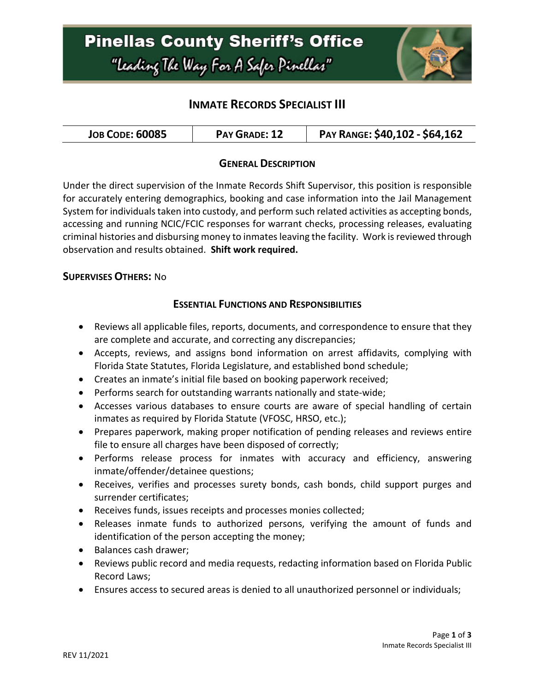

### **INMATE RECORDS SPECIALIST III**

| <b>JOB CODE: 60085</b> | <b>PAY GRADE: 12</b> | PAY RANGE: \$40,102 - \$64,162 |
|------------------------|----------------------|--------------------------------|
|------------------------|----------------------|--------------------------------|

### **GENERAL DESCRIPTION**

Under the direct supervision of the Inmate Records Shift Supervisor, this position is responsible for accurately entering demographics, booking and case information into the Jail Management System for individuals taken into custody, and perform such related activities as accepting bonds, accessing and running NCIC/FCIC responses for warrant checks, processing releases, evaluating criminal histories and disbursing money to inmates leaving the facility. Work is reviewed through observation and results obtained. **Shift work required.**

#### **SUPERVISES OTHERS:** No

### **ESSENTIAL FUNCTIONS AND RESPONSIBILITIES**

- Reviews all applicable files, reports, documents, and correspondence to ensure that they are complete and accurate, and correcting any discrepancies;
- Accepts, reviews, and assigns bond information on arrest affidavits, complying with Florida State Statutes, Florida Legislature, and established bond schedule;
- Creates an inmate's initial file based on booking paperwork received;
- Performs search for outstanding warrants nationally and state-wide;
- Accesses various databases to ensure courts are aware of special handling of certain inmates as required by Florida Statute (VFOSC, HRSO, etc.);
- Prepares paperwork, making proper notification of pending releases and reviews entire file to ensure all charges have been disposed of correctly;
- Performs release process for inmates with accuracy and efficiency, answering inmate/offender/detainee questions;
- Receives, verifies and processes surety bonds, cash bonds, child support purges and surrender certificates;
- Receives funds, issues receipts and processes monies collected;
- Releases inmate funds to authorized persons, verifying the amount of funds and identification of the person accepting the money;
- Balances cash drawer;
- Reviews public record and media requests, redacting information based on Florida Public Record Laws;
- Ensures access to secured areas is denied to all unauthorized personnel or individuals;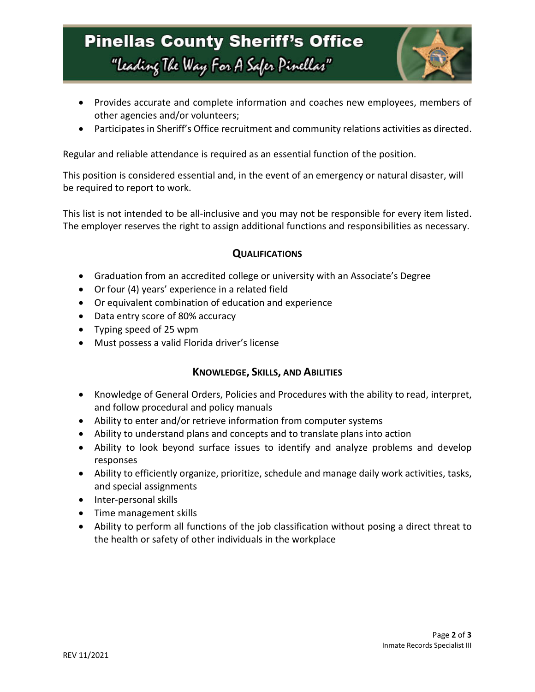## **Pinellas County Sheriff's Office** "Leading The Way For A Safer Pinellar"



- Provides accurate and complete information and coaches new employees, members of other agencies and/or volunteers;
- Participates in Sheriff's Office recruitment and community relations activities as directed.

Regular and reliable attendance is required as an essential function of the position.

This position is considered essential and, in the event of an emergency or natural disaster, will be required to report to work.

This list is not intended to be all-inclusive and you may not be responsible for every item listed. The employer reserves the right to assign additional functions and responsibilities as necessary.

### **QUALIFICATIONS**

- Graduation from an accredited college or university with an Associate's Degree
- Or four (4) years' experience in a related field
- Or equivalent combination of education and experience
- Data entry score of 80% accuracy
- Typing speed of 25 wpm
- Must possess a valid Florida driver's license

### **KNOWLEDGE, SKILLS, AND ABILITIES**

- Knowledge of General Orders, Policies and Procedures with the ability to read, interpret, and follow procedural and policy manuals
- Ability to enter and/or retrieve information from computer systems
- Ability to understand plans and concepts and to translate plans into action
- Ability to look beyond surface issues to identify and analyze problems and develop responses
- Ability to efficiently organize, prioritize, schedule and manage daily work activities, tasks, and special assignments
- Inter-personal skills
- Time management skills
- Ability to perform all functions of the job classification without posing a direct threat to the health or safety of other individuals in the workplace